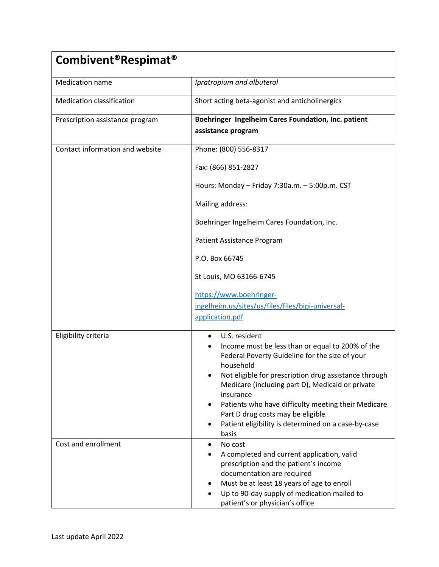| Combivent <sup>®</sup> Respimat <sup>®</sup> |                                                                                                                                                                                                                                                                                                                                                                                                                                     |
|----------------------------------------------|-------------------------------------------------------------------------------------------------------------------------------------------------------------------------------------------------------------------------------------------------------------------------------------------------------------------------------------------------------------------------------------------------------------------------------------|
| <b>Medication name</b>                       | Ipratropium and albuterol                                                                                                                                                                                                                                                                                                                                                                                                           |
| <b>Medication classification</b>             | Short acting beta-agonist and anticholinergics                                                                                                                                                                                                                                                                                                                                                                                      |
| Prescription assistance program              | Boehringer Ingelheim Cares Foundation, Inc. patient<br>assistance program                                                                                                                                                                                                                                                                                                                                                           |
| Contact information and website              | Phone: (800) 556-8317                                                                                                                                                                                                                                                                                                                                                                                                               |
|                                              | Fax: (866) 851-2827                                                                                                                                                                                                                                                                                                                                                                                                                 |
|                                              | Hours: Monday - Friday 7:30a.m. - 5:00p.m. CST                                                                                                                                                                                                                                                                                                                                                                                      |
|                                              | Mailing address:                                                                                                                                                                                                                                                                                                                                                                                                                    |
|                                              | Boehringer Ingelheim Cares Foundation, Inc.                                                                                                                                                                                                                                                                                                                                                                                         |
|                                              | Patient Assistance Program                                                                                                                                                                                                                                                                                                                                                                                                          |
|                                              | P.O. Box 66745                                                                                                                                                                                                                                                                                                                                                                                                                      |
|                                              | St Louis, MO 63166-6745                                                                                                                                                                                                                                                                                                                                                                                                             |
|                                              | https://www.boehringer-                                                                                                                                                                                                                                                                                                                                                                                                             |
|                                              | ingelheim.us/sites/us/files/files/bipi-universal-<br>application.pdf                                                                                                                                                                                                                                                                                                                                                                |
|                                              |                                                                                                                                                                                                                                                                                                                                                                                                                                     |
| Eligibility criteria                         | U.S. resident<br>$\bullet$<br>Income must be less than or equal to 200% of the<br>Federal Poverty Guideline for the size of your<br>household<br>Not eligible for prescription drug assistance through<br>Medicare (including part D), Medicaid or private<br>insurance<br>Patients who have difficulty meeting their Medicare<br>Part D drug costs may be eligible<br>Patient eligibility is determined on a case-by-case<br>basis |
| Cost and enrollment                          | No cost<br>٠<br>A completed and current application, valid<br>prescription and the patient's income<br>documentation are required<br>Must be at least 18 years of age to enroll<br>Up to 90-day supply of medication mailed to<br>patient's or physician's office                                                                                                                                                                   |